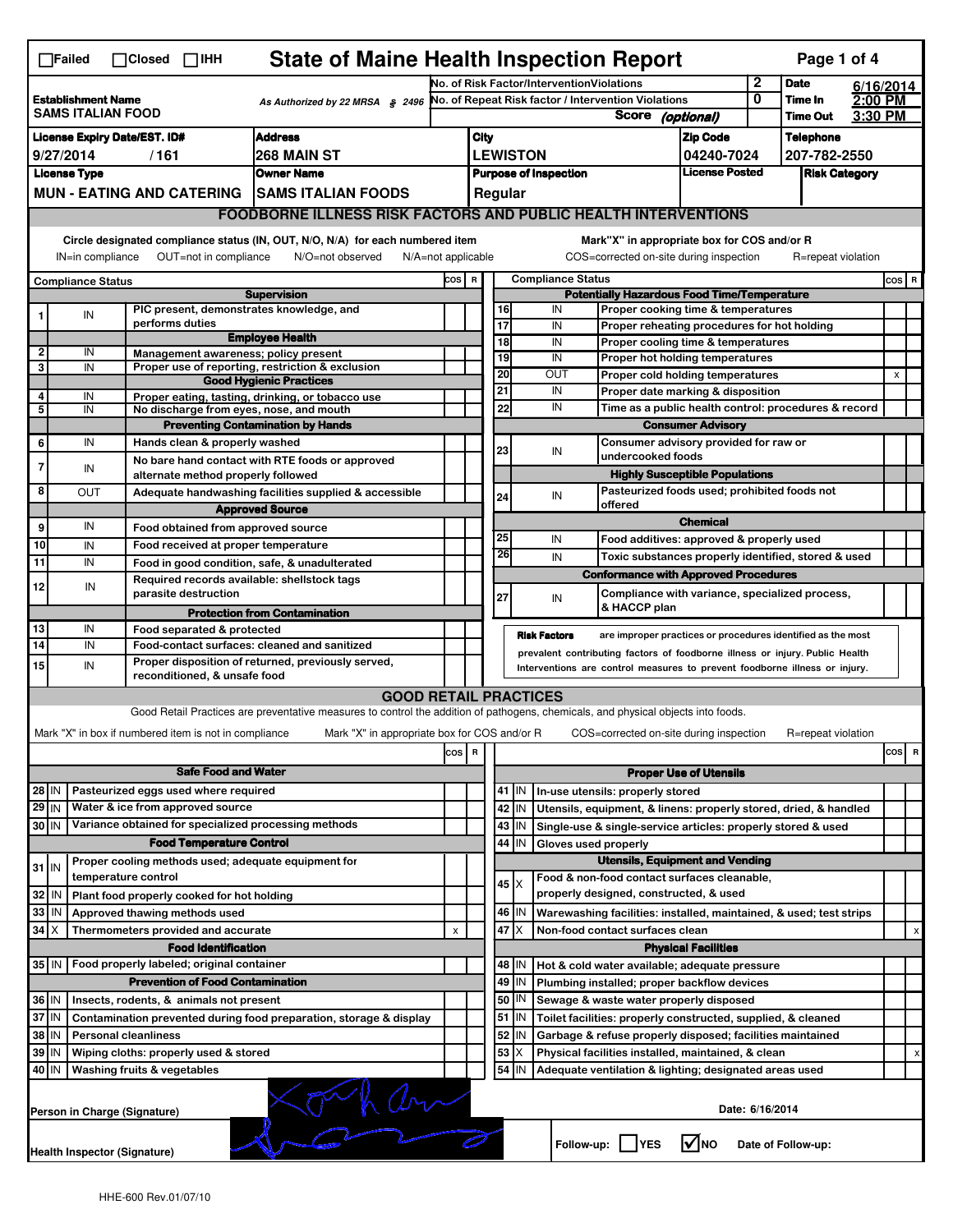| <b>State of Maine Health Inspection Report</b><br>Page 1 of 4<br>$\Box$ Failed<br>$\Box$ Closed $\Box$ IHH                                                                                                                                                                            |                                                                                                           |                             |      |                 |                                            |                                                                                                                                   |                                           |         |      |                                                     |                 |                                                                                    |                                                                                           |         |                    |         |     |   |
|---------------------------------------------------------------------------------------------------------------------------------------------------------------------------------------------------------------------------------------------------------------------------------------|-----------------------------------------------------------------------------------------------------------|-----------------------------|------|-----------------|--------------------------------------------|-----------------------------------------------------------------------------------------------------------------------------------|-------------------------------------------|---------|------|-----------------------------------------------------|-----------------|------------------------------------------------------------------------------------|-------------------------------------------------------------------------------------------|---------|--------------------|---------|-----|---|
|                                                                                                                                                                                                                                                                                       |                                                                                                           |                             |      |                 |                                            |                                                                                                                                   | No. of Risk Factor/InterventionViolations |         |      |                                                     | 2               | <b>Date</b>                                                                        | 6/16/2014                                                                                 |         |                    |         |     |   |
| <b>Establishment Name</b><br>As Authorized by 22 MRSA \$2496<br><b>SAMS ITALIAN FOOD</b>                                                                                                                                                                                              |                                                                                                           |                             |      |                 |                                            |                                                                                                                                   |                                           |         |      | No. of Repeat Risk factor / Intervention Violations |                 | 0                                                                                  | Time In                                                                                   | 2:00 PM |                    |         |     |   |
|                                                                                                                                                                                                                                                                                       | <b>License Expiry Date/EST. ID#</b>                                                                       |                             |      |                 |                                            |                                                                                                                                   |                                           |         |      |                                                     |                 | Score (optional)                                                                   |                                                                                           |         | <b>Time Out</b>    | 3:30 PM |     |   |
|                                                                                                                                                                                                                                                                                       |                                                                                                           |                             |      |                 |                                            | <b>Address</b>                                                                                                                    |                                           |         | City |                                                     |                 |                                                                                    | <b>Zip Code</b>                                                                           |         | <b>Telephone</b>   |         |     |   |
|                                                                                                                                                                                                                                                                                       | 9/27/2014                                                                                                 |                             | /161 |                 |                                            | 268 MAIN ST                                                                                                                       |                                           |         |      |                                                     | <b>LEWISTON</b> |                                                                                    | 04240-7024                                                                                |         | 207-782-2550       |         |     |   |
| <b>License Type</b><br><b>Owner Name</b><br><b>MUN - EATING AND CATERING</b>                                                                                                                                                                                                          |                                                                                                           |                             |      |                 |                                            | <b>License Posted</b><br><b>Purpose of Inspection</b><br><b>Risk Category</b>                                                     |                                           |         |      |                                                     |                 |                                                                                    |                                                                                           |         |                    |         |     |   |
|                                                                                                                                                                                                                                                                                       |                                                                                                           |                             |      |                 |                                            | <b>SAMS ITALIAN FOODS</b>                                                                                                         |                                           | Regular |      |                                                     |                 |                                                                                    |                                                                                           |         |                    |         |     |   |
|                                                                                                                                                                                                                                                                                       |                                                                                                           |                             |      |                 |                                            | <b>FOODBORNE ILLNESS RISK FACTORS AND PUBLIC HEALTH INTERVENTIONS</b>                                                             |                                           |         |      |                                                     |                 |                                                                                    |                                                                                           |         |                    |         |     |   |
| Circle designated compliance status (IN, OUT, N/O, N/A) for each numbered item<br>Mark"X" in appropriate box for COS and/or R<br>OUT=not in compliance<br>N/O=not observed<br>N/A=not applicable<br>COS=corrected on-site during inspection<br>R=repeat violation<br>IN=in compliance |                                                                                                           |                             |      |                 |                                            |                                                                                                                                   |                                           |         |      |                                                     |                 |                                                                                    |                                                                                           |         |                    |         |     |   |
| <b>Compliance Status</b>                                                                                                                                                                                                                                                              |                                                                                                           |                             |      |                 |                                            | <b>Compliance Status</b><br>cos  <br>$\, {\bf R}$                                                                                 |                                           |         |      |                                                     |                 |                                                                                    |                                                                                           | COS R   |                    |         |     |   |
|                                                                                                                                                                                                                                                                                       |                                                                                                           |                             |      |                 |                                            | <b>Supervision</b>                                                                                                                |                                           |         |      |                                                     |                 | <b>Potentially Hazardous Food Time/Temperature</b>                                 |                                                                                           |         |                    |         |     |   |
|                                                                                                                                                                                                                                                                                       | IN                                                                                                        |                             |      |                 |                                            | PIC present, demonstrates knowledge, and                                                                                          |                                           |         |      | 16                                                  |                 | IN<br>Proper cooking time & temperatures                                           |                                                                                           |         |                    |         |     |   |
|                                                                                                                                                                                                                                                                                       |                                                                                                           |                             |      | performs duties |                                            | <b>Employee Health</b>                                                                                                            |                                           |         |      | 17                                                  |                 | IN<br>Proper reheating procedures for hot holding                                  |                                                                                           |         |                    |         |     |   |
| $\overline{\mathbf{2}}$                                                                                                                                                                                                                                                               | IN                                                                                                        |                             |      |                 |                                            | Management awareness; policy present                                                                                              |                                           |         |      | 18<br>19                                            |                 | IN<br>Proper cooling time & temperatures<br>IN<br>Proper hot holding temperatures  |                                                                                           |         |                    |         |     |   |
| 3                                                                                                                                                                                                                                                                                     | IN                                                                                                        |                             |      |                 |                                            | Proper use of reporting, restriction & exclusion                                                                                  |                                           |         |      | 20                                                  |                 | OUT<br>Proper cold holding temperatures                                            |                                                                                           |         |                    |         | X   |   |
|                                                                                                                                                                                                                                                                                       |                                                                                                           |                             |      |                 |                                            | <b>Good Hygienic Practices</b>                                                                                                    |                                           |         |      | 21                                                  |                 | IN                                                                                 |                                                                                           |         |                    |         |     |   |
| 4<br>5                                                                                                                                                                                                                                                                                | IN<br>IN                                                                                                  |                             |      |                 |                                            | Proper eating, tasting, drinking, or tobacco use<br>No discharge from eyes, nose, and mouth                                       |                                           |         |      | 22                                                  |                 | IN                                                                                 | Proper date marking & disposition<br>Time as a public health control: procedures & record |         |                    |         |     |   |
|                                                                                                                                                                                                                                                                                       |                                                                                                           |                             |      |                 |                                            | <b>Preventing Contamination by Hands</b>                                                                                          |                                           |         |      |                                                     |                 |                                                                                    | <b>Consumer Advisory</b>                                                                  |         |                    |         |     |   |
| 6                                                                                                                                                                                                                                                                                     | IN                                                                                                        |                             |      |                 |                                            | Hands clean & properly washed                                                                                                     |                                           |         |      |                                                     |                 | Consumer advisory provided for raw or                                              |                                                                                           |         |                    |         |     |   |
|                                                                                                                                                                                                                                                                                       |                                                                                                           |                             |      |                 |                                            | No bare hand contact with RTE foods or approved                                                                                   |                                           |         |      | 23                                                  |                 | IN<br>undercooked foods                                                            |                                                                                           |         |                    |         |     |   |
| $\overline{7}$                                                                                                                                                                                                                                                                        | IN                                                                                                        |                             |      |                 |                                            | alternate method properly followed                                                                                                |                                           |         |      |                                                     |                 | <b>Highly Susceptible Populations</b>                                              |                                                                                           |         |                    |         |     |   |
| 8                                                                                                                                                                                                                                                                                     | OUT                                                                                                       |                             |      |                 |                                            | Adequate handwashing facilities supplied & accessible                                                                             |                                           |         |      | 24                                                  |                 | Pasteurized foods used; prohibited foods not<br>IN                                 |                                                                                           |         |                    |         |     |   |
|                                                                                                                                                                                                                                                                                       |                                                                                                           |                             |      |                 |                                            | <b>Approved Source</b>                                                                                                            |                                           |         |      |                                                     |                 | offered                                                                            |                                                                                           |         |                    |         |     |   |
| 9                                                                                                                                                                                                                                                                                     | IN                                                                                                        |                             |      |                 |                                            | Food obtained from approved source                                                                                                |                                           |         |      |                                                     |                 |                                                                                    | <b>Chemical</b>                                                                           |         |                    |         |     |   |
| 10                                                                                                                                                                                                                                                                                    | IN                                                                                                        |                             |      |                 |                                            | Food received at proper temperature                                                                                               |                                           |         |      | 25                                                  |                 | IN<br>Food additives: approved & properly used                                     |                                                                                           |         |                    |         |     |   |
| $\overline{11}$                                                                                                                                                                                                                                                                       | IN                                                                                                        |                             |      |                 |                                            | Food in good condition, safe, & unadulterated                                                                                     |                                           |         |      | 26                                                  |                 | IN<br>Toxic substances properly identified, stored & used                          |                                                                                           |         |                    |         |     |   |
| 12                                                                                                                                                                                                                                                                                    | IN                                                                                                        |                             |      |                 |                                            | Required records available: shellstock tags                                                                                       |                                           |         |      |                                                     |                 | <b>Conformance with Approved Procedures</b>                                        |                                                                                           |         |                    |         |     |   |
|                                                                                                                                                                                                                                                                                       |                                                                                                           |                             |      |                 | parasite destruction                       |                                                                                                                                   |                                           |         |      | 27                                                  |                 | Compliance with variance, specialized process,<br>IN                               |                                                                                           |         |                    |         |     |   |
|                                                                                                                                                                                                                                                                                       |                                                                                                           |                             |      |                 |                                            | <b>Protection from Contamination</b>                                                                                              |                                           |         |      |                                                     |                 | & HACCP plan                                                                       |                                                                                           |         |                    |         |     |   |
| 13                                                                                                                                                                                                                                                                                    | IN                                                                                                        |                             |      |                 | Food separated & protected                 |                                                                                                                                   |                                           |         |      |                                                     |                 | <b>Risk Factors</b><br>are improper practices or procedures identified as the most |                                                                                           |         |                    |         |     |   |
| 14                                                                                                                                                                                                                                                                                    | IN                                                                                                        |                             |      |                 |                                            | Food-contact surfaces: cleaned and sanitized                                                                                      |                                           |         |      |                                                     |                 | prevalent contributing factors of foodborne illness or injury. Public Health       |                                                                                           |         |                    |         |     |   |
| 15                                                                                                                                                                                                                                                                                    | IN                                                                                                        |                             |      |                 | reconditioned, & unsafe food               | Proper disposition of returned, previously served,                                                                                |                                           |         |      |                                                     |                 | Interventions are control measures to prevent foodborne illness or injury.         |                                                                                           |         |                    |         |     |   |
|                                                                                                                                                                                                                                                                                       |                                                                                                           |                             |      |                 |                                            |                                                                                                                                   |                                           |         |      |                                                     |                 |                                                                                    |                                                                                           |         |                    |         |     |   |
|                                                                                                                                                                                                                                                                                       |                                                                                                           |                             |      |                 |                                            | Good Retail Practices are preventative measures to control the addition of pathogens, chemicals, and physical objects into foods. | <b>GOOD RETAIL PRACTICES</b>              |         |      |                                                     |                 |                                                                                    |                                                                                           |         |                    |         |     |   |
|                                                                                                                                                                                                                                                                                       |                                                                                                           |                             |      |                 |                                            | Mark "X" in appropriate box for COS and/or R                                                                                      |                                           |         |      |                                                     |                 |                                                                                    |                                                                                           |         | R=repeat violation |         |     |   |
|                                                                                                                                                                                                                                                                                       | Mark "X" in box if numbered item is not in compliance                                                     |                             |      |                 |                                            |                                                                                                                                   |                                           |         |      |                                                     |                 | COS=corrected on-site during inspection                                            |                                                                                           |         |                    |         |     |   |
|                                                                                                                                                                                                                                                                                       |                                                                                                           |                             |      |                 |                                            |                                                                                                                                   |                                           | cos     | R    |                                                     |                 |                                                                                    |                                                                                           |         |                    |         | cos | R |
|                                                                                                                                                                                                                                                                                       |                                                                                                           |                             |      |                 | <b>Safe Food and Water</b>                 |                                                                                                                                   |                                           |         |      | <b>Proper Use of Utensils</b>                       |                 |                                                                                    |                                                                                           |         |                    |         |     |   |
| 28 IN                                                                                                                                                                                                                                                                                 |                                                                                                           |                             |      |                 | Pasteurized eggs used where required       |                                                                                                                                   |                                           |         |      |                                                     | 41   IN         | In-use utensils: properly stored                                                   |                                                                                           |         |                    |         |     |   |
| $29$ IN                                                                                                                                                                                                                                                                               |                                                                                                           |                             |      |                 | Water & ice from approved source           |                                                                                                                                   |                                           |         |      |                                                     | 42 IN           | Utensils, equipment, & linens: properly stored, dried, & handled                   |                                                                                           |         |                    |         |     |   |
| 30 IN                                                                                                                                                                                                                                                                                 |                                                                                                           |                             |      |                 |                                            | Variance obtained for specialized processing methods                                                                              |                                           |         |      |                                                     | $43$   IN       | Single-use & single-service articles: properly stored & used                       |                                                                                           |         |                    |         |     |   |
|                                                                                                                                                                                                                                                                                       |                                                                                                           |                             |      |                 | <b>Food Temperature Control</b>            |                                                                                                                                   |                                           |         |      | 44                                                  | IN              | Gloves used properly                                                               |                                                                                           |         |                    |         |     |   |
| $31$ IN                                                                                                                                                                                                                                                                               |                                                                                                           |                             |      |                 |                                            | Proper cooling methods used; adequate equipment for                                                                               |                                           |         |      |                                                     |                 | <b>Utensils, Equipment and Vending</b>                                             |                                                                                           |         |                    |         |     |   |
|                                                                                                                                                                                                                                                                                       |                                                                                                           | temperature control         |      |                 |                                            |                                                                                                                                   |                                           |         |      | $45 \times$                                         |                 | Food & non-food contact surfaces cleanable.                                        |                                                                                           |         |                    |         |     |   |
| 32                                                                                                                                                                                                                                                                                    | IN                                                                                                        |                             |      |                 | Plant food properly cooked for hot holding |                                                                                                                                   |                                           |         |      |                                                     |                 | properly designed, constructed, & used                                             |                                                                                           |         |                    |         |     |   |
| 33                                                                                                                                                                                                                                                                                    | IN                                                                                                        |                             |      |                 | Approved thawing methods used              |                                                                                                                                   |                                           |         |      |                                                     | 46   IN         | Warewashing facilities: installed, maintained, & used; test strips                 |                                                                                           |         |                    |         |     |   |
| 34                                                                                                                                                                                                                                                                                    | ΙX                                                                                                        |                             |      |                 | Thermometers provided and accurate         |                                                                                                                                   |                                           | X       |      | 47 X                                                |                 | Non-food contact surfaces clean                                                    |                                                                                           |         |                    |         |     | х |
|                                                                                                                                                                                                                                                                                       |                                                                                                           |                             |      |                 | <b>Food Identification</b>                 |                                                                                                                                   |                                           |         |      |                                                     |                 |                                                                                    | <b>Physical Facilities</b>                                                                |         |                    |         |     |   |
|                                                                                                                                                                                                                                                                                       | 35 IN   Food properly labeled; original container                                                         |                             |      |                 |                                            |                                                                                                                                   |                                           |         |      |                                                     | 48   IN         | Hot & cold water available; adequate pressure                                      |                                                                                           |         |                    |         |     |   |
|                                                                                                                                                                                                                                                                                       |                                                                                                           |                             |      |                 |                                            | <b>Prevention of Food Contamination</b>                                                                                           |                                           |         |      | 49                                                  | IN              | Plumbing installed; proper backflow devices                                        |                                                                                           |         |                    |         |     |   |
| 36 IN                                                                                                                                                                                                                                                                                 |                                                                                                           |                             |      |                 | Insects, rodents, & animals not present    |                                                                                                                                   |                                           |         |      | 50                                                  | IN              | Sewage & waste water properly disposed                                             |                                                                                           |         |                    |         |     |   |
| 37                                                                                                                                                                                                                                                                                    | ΙM                                                                                                        |                             |      |                 |                                            | Contamination prevented during food preparation, storage & display                                                                |                                           |         |      | 51                                                  | IN              | Toilet facilities: properly constructed, supplied, & cleaned                       |                                                                                           |         |                    |         |     |   |
| 38                                                                                                                                                                                                                                                                                    | IN                                                                                                        | <b>Personal cleanliness</b> |      |                 |                                            |                                                                                                                                   |                                           |         |      | 52                                                  | IN              | Garbage & refuse properly disposed; facilities maintained                          |                                                                                           |         |                    |         |     |   |
| 39                                                                                                                                                                                                                                                                                    | IN                                                                                                        |                             |      |                 | Wiping cloths: properly used & stored      |                                                                                                                                   |                                           |         |      | 53                                                  | ΙX              | Physical facilities installed, maintained, & clean                                 |                                                                                           |         |                    |         |     |   |
|                                                                                                                                                                                                                                                                                       | 40 IN<br>54 J IN<br>Washing fruits & vegetables<br>Adequate ventilation & lighting; designated areas used |                             |      |                 |                                            |                                                                                                                                   |                                           |         |      |                                                     |                 |                                                                                    |                                                                                           |         |                    |         |     |   |
|                                                                                                                                                                                                                                                                                       | Date: 6/16/2014<br>Person in Charge (Signature)                                                           |                             |      |                 |                                            |                                                                                                                                   |                                           |         |      |                                                     |                 |                                                                                    |                                                                                           |         |                    |         |     |   |
|                                                                                                                                                                                                                                                                                       | Follow-up:  <br><b>V</b> INO<br><b>YES</b><br>Date of Follow-up:<br><b>Health Inspector (Signature)</b>   |                             |      |                 |                                            |                                                                                                                                   |                                           |         |      |                                                     |                 |                                                                                    |                                                                                           |         |                    |         |     |   |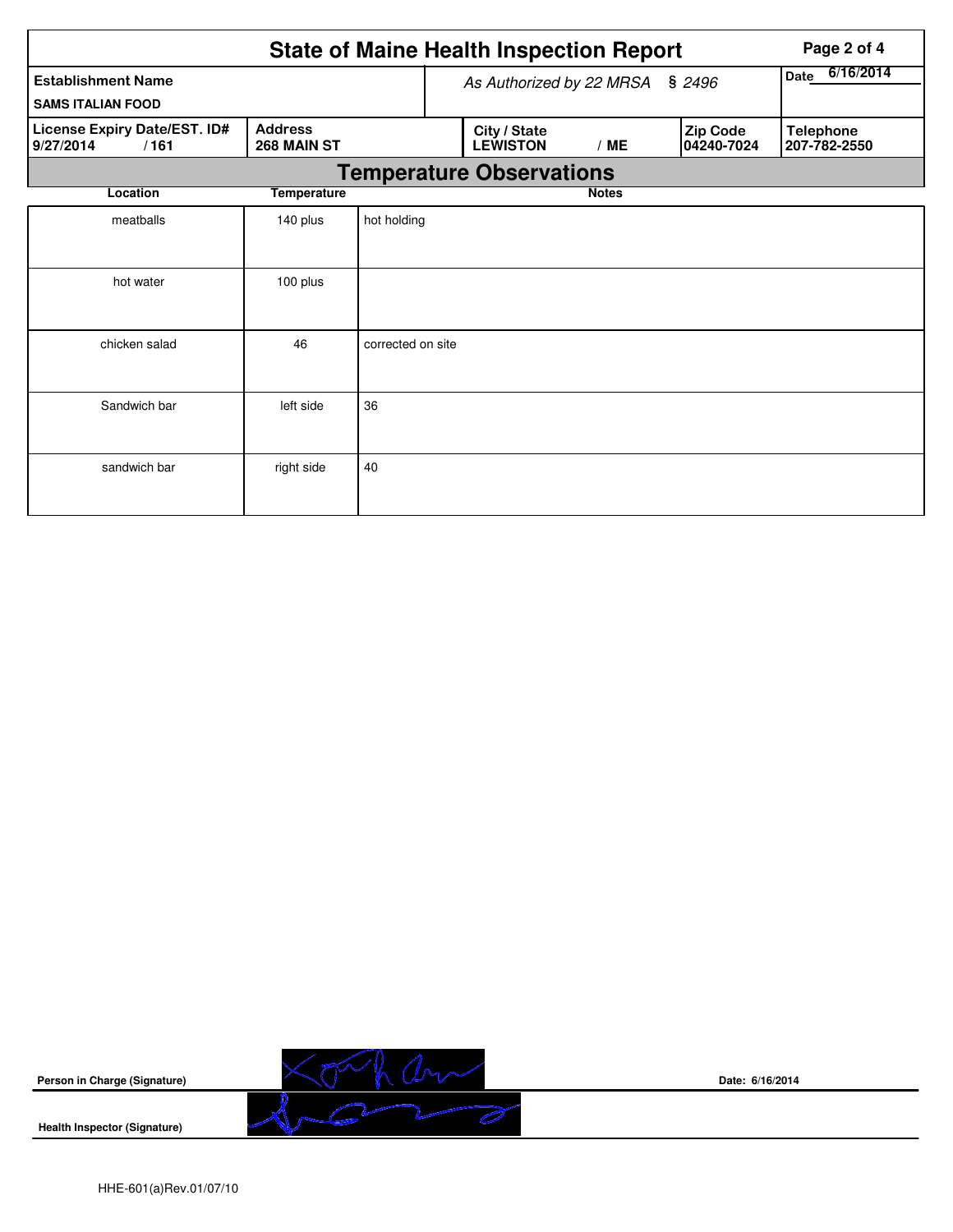|                                                       |                               |                                    |                                 | <b>State of Maine Health Inspection Report</b> | Page 2 of 4  |  |                        |                                  |  |  |
|-------------------------------------------------------|-------------------------------|------------------------------------|---------------------------------|------------------------------------------------|--------------|--|------------------------|----------------------------------|--|--|
| <b>Establishment Name</b><br><b>SAMS ITALIAN FOOD</b> |                               | \$2496<br>As Authorized by 22 MRSA |                                 |                                                |              |  | 6/16/2014<br>Date      |                                  |  |  |
| License Expiry Date/EST. ID#<br>9/27/2014<br>/161     | <b>Address</b><br>268 MAIN ST |                                    |                                 | City / State<br><b>LEWISTON</b>                | /ME          |  | Zip Code<br>04240-7024 | <b>Telephone</b><br>207-782-2550 |  |  |
|                                                       |                               |                                    | <b>Temperature Observations</b> |                                                |              |  |                        |                                  |  |  |
| Location                                              | <b>Temperature</b>            |                                    |                                 |                                                | <b>Notes</b> |  |                        |                                  |  |  |
| meatballs                                             | 140 plus                      | hot holding                        |                                 |                                                |              |  |                        |                                  |  |  |
| hot water                                             | 100 plus                      |                                    |                                 |                                                |              |  |                        |                                  |  |  |
| chicken salad                                         | 46                            | corrected on site                  |                                 |                                                |              |  |                        |                                  |  |  |
| Sandwich bar                                          | left side                     | 36                                 |                                 |                                                |              |  |                        |                                  |  |  |
| sandwich bar                                          | right side                    | 40                                 |                                 |                                                |              |  |                        |                                  |  |  |



**Date: 6/16/2014**

**Health Inspector (Signature)**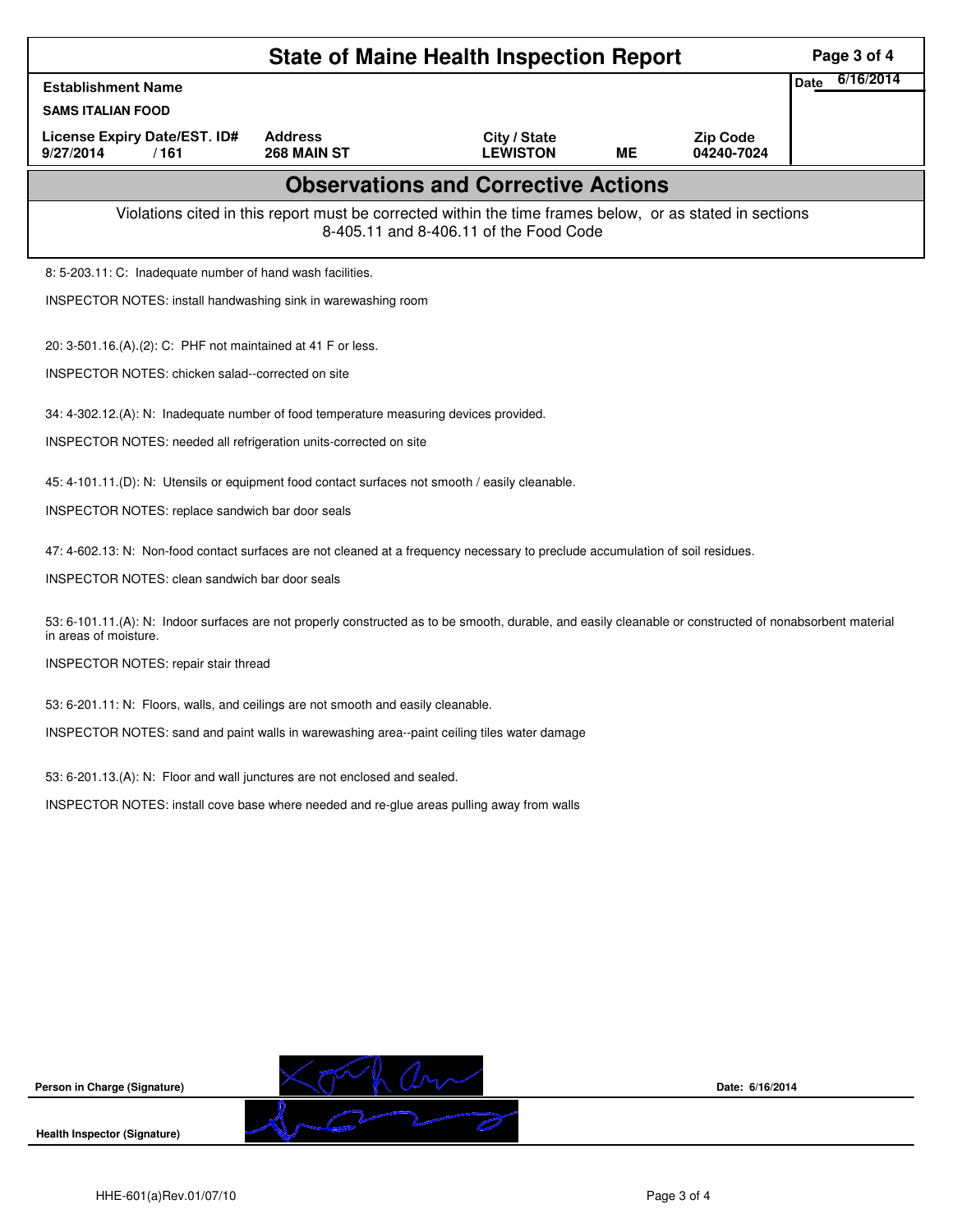|                                                                                                                                                                                   |                               | Page 3 of 4                                                                                                                                        |           |                               |             |           |
|-----------------------------------------------------------------------------------------------------------------------------------------------------------------------------------|-------------------------------|----------------------------------------------------------------------------------------------------------------------------------------------------|-----------|-------------------------------|-------------|-----------|
| <b>Establishment Name</b>                                                                                                                                                         |                               |                                                                                                                                                    |           |                               | <b>Date</b> | 6/16/2014 |
| <b>SAMS ITALIAN FOOD</b>                                                                                                                                                          |                               |                                                                                                                                                    |           |                               |             |           |
| License Expiry Date/EST. ID#<br>9/27/2014<br>/161                                                                                                                                 | <b>Address</b><br>268 MAIN ST | City / State<br><b>LEWISTON</b>                                                                                                                    | <b>ME</b> | <b>Zip Code</b><br>04240-7024 |             |           |
|                                                                                                                                                                                   |                               | <b>Observations and Corrective Actions</b>                                                                                                         |           |                               |             |           |
|                                                                                                                                                                                   |                               | Violations cited in this report must be corrected within the time frames below, or as stated in sections<br>8-405.11 and 8-406.11 of the Food Code |           |                               |             |           |
| 8: 5-203.11: C: Inadequate number of hand wash facilities.                                                                                                                        |                               |                                                                                                                                                    |           |                               |             |           |
| INSPECTOR NOTES: install handwashing sink in warewashing room                                                                                                                     |                               |                                                                                                                                                    |           |                               |             |           |
| 20: 3-501.16.(A).(2): C: PHF not maintained at 41 F or less.                                                                                                                      |                               |                                                                                                                                                    |           |                               |             |           |
| INSPECTOR NOTES: chicken salad--corrected on site                                                                                                                                 |                               |                                                                                                                                                    |           |                               |             |           |
| 34: 4-302.12.(A): N: Inadequate number of food temperature measuring devices provided.                                                                                            |                               |                                                                                                                                                    |           |                               |             |           |
| INSPECTOR NOTES: needed all refrigeration units-corrected on site                                                                                                                 |                               |                                                                                                                                                    |           |                               |             |           |
| 45: 4-101.11.(D): N: Utensils or equipment food contact surfaces not smooth / easily cleanable.                                                                                   |                               |                                                                                                                                                    |           |                               |             |           |
| INSPECTOR NOTES: replace sandwich bar door seals                                                                                                                                  |                               |                                                                                                                                                    |           |                               |             |           |
| 47: 4-602.13: N: Non-food contact surfaces are not cleaned at a frequency necessary to preclude accumulation of soil residues.                                                    |                               |                                                                                                                                                    |           |                               |             |           |
| INSPECTOR NOTES: clean sandwich bar door seals                                                                                                                                    |                               |                                                                                                                                                    |           |                               |             |           |
| 53: 6-101.11.(A): N: Indoor surfaces are not properly constructed as to be smooth, durable, and easily cleanable or constructed of nonabsorbent material<br>in areas of moisture. |                               |                                                                                                                                                    |           |                               |             |           |
| INSPECTOR NOTES: repair stair thread                                                                                                                                              |                               |                                                                                                                                                    |           |                               |             |           |
| 53: 6-201.11: N: Floors, walls, and ceilings are not smooth and easily cleanable.                                                                                                 |                               |                                                                                                                                                    |           |                               |             |           |
| INSPECTOR NOTES: sand and paint walls in warewashing area--paint ceiling tiles water damage                                                                                       |                               |                                                                                                                                                    |           |                               |             |           |
| 53: 6-201.13.(A): N: Floor and wall junctures are not enclosed and sealed.                                                                                                        |                               |                                                                                                                                                    |           |                               |             |           |
| INSPECTOR NOTES: install cove base where needed and re-glue areas pulling away from walls                                                                                         |                               |                                                                                                                                                    |           |                               |             |           |
|                                                                                                                                                                                   |                               |                                                                                                                                                    |           |                               |             |           |
|                                                                                                                                                                                   |                               |                                                                                                                                                    |           |                               |             |           |
|                                                                                                                                                                                   |                               |                                                                                                                                                    |           |                               |             |           |
|                                                                                                                                                                                   |                               |                                                                                                                                                    |           |                               |             |           |
|                                                                                                                                                                                   |                               |                                                                                                                                                    |           |                               |             |           |
|                                                                                                                                                                                   |                               |                                                                                                                                                    |           |                               |             |           |
|                                                                                                                                                                                   |                               |                                                                                                                                                    |           |                               |             |           |
| Person in Charge (Signature)                                                                                                                                                      |                               |                                                                                                                                                    |           | Date: 6/16/2014               |             |           |
| Health Inspector (Signature)                                                                                                                                                      |                               |                                                                                                                                                    |           |                               |             |           |

**Health Inspector (Signature)**